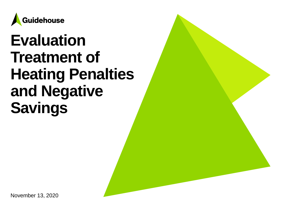

# **Evaluation Treatment of Heating Penalties and Negative Savings**

November 13, 2020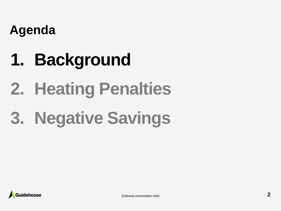### **Agenda**

# **1. Background**

# **2. Heating Penalties**

# **3. Negative Savings**

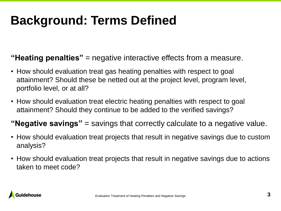# **Background: Terms Defined**

### **"Heating penalties"** = negative interactive effects from a measure.

- How should evaluation treat gas heating penalties with respect to goal attainment? Should these be netted out at the project level, program level, portfolio level, or at all?
- How should evaluation treat electric heating penalties with respect to goal attainment? Should they continue to be added to the verified savings?

### **"Negative savings"** = savings that correctly calculate to a negative value.

- How should evaluation treat projects that result in negative savings due to custom analysis?
- How should evaluation treat projects that result in negative savings due to actions taken to meet code?

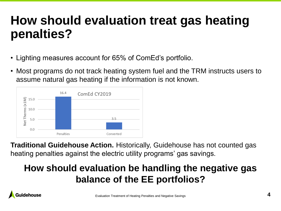## **How should evaluation treat gas heating penalties?**

- Lighting measures account for 65% of ComEd's portfolio.
- Most programs do not track heating system fuel and the TRM instructs users to assume natural gas heating if the information is not known.



**Traditional Guidehouse Action.** Historically, Guidehouse has not counted gas heating penalties against the electric utility programs' gas savings.

### **How should evaluation be handling the negative gas balance of the EE portfolios?**

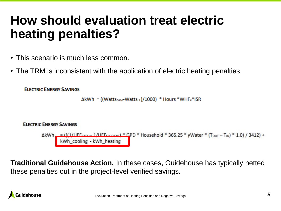## **How should evaluation treat electric heating penalties?**

- This scenario is much less common.
- The TRM is inconsistent with the application of electric heating penalties.

```
ELECTRIC ENERGY SAVINGS
```
 $\Delta$ kWh = ((Wattsbase-WattsEE)/1000) \* Hours \*WHFe\*ISR



**Traditional Guidehouse Action.** In these cases, Guidehouse has typically netted these penalties out in the project-level verified savings.

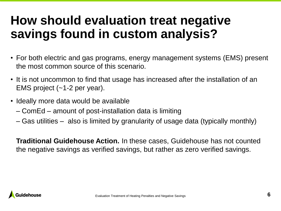## **How should evaluation treat negative savings found in custom analysis?**

- For both electric and gas programs, energy management systems (EMS) present the most common source of this scenario.
- It is not uncommon to find that usage has increased after the installation of an EMS project (~1-2 per year).
- Ideally more data would be available
	- ComEd amount of post-installation data is limiting
	- Gas utilities also is limited by granularity of usage data (typically monthly)

**Traditional Guidehouse Action.** In these cases, Guidehouse has not counted the negative savings as verified savings, but rather as zero verified savings.

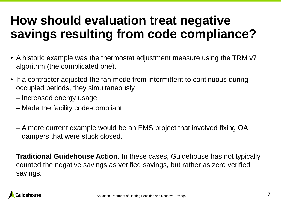## **How should evaluation treat negative savings resulting from code compliance?**

- A historic example was the thermostat adjustment measure using the TRM v7 algorithm (the complicated one).
- If a contractor adjusted the fan mode from intermittent to continuous during occupied periods, they simultaneously
	- Increased energy usage
	- Made the facility code-compliant
	- A more current example would be an EMS project that involved fixing OA dampers that were stuck closed.

**Traditional Guidehouse Action.** In these cases, Guidehouse has not typically counted the negative savings as verified savings, but rather as zero verified savings.